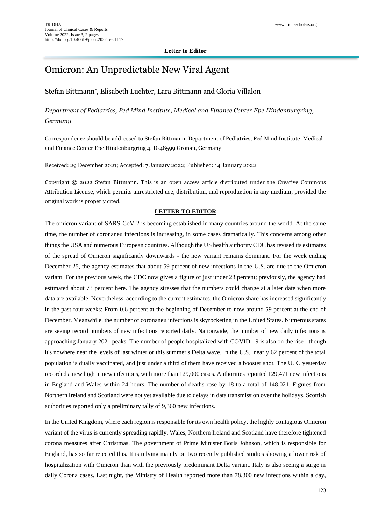## Omicron: An Unpredictable New Viral Agent

## Stefan Bittmann\* , Elisabeth Luchter, Lara Bittmann and Gloria Villalon

*Department of Pediatrics, Ped Mind Institute, Medical and Finance Center Epe Hindenburgring, Germany*

Correspondence should be addressed to Stefan Bittmann, Department of Pediatrics, Ped Mind Institute, Medical and Finance Center Epe Hindenburgring 4, D-48599 Gronau, Germany

Received: 29 December 2021; Accepted: 7 January 2022; Published: 14 January 2022

Copyright © 2022 Stefan Bittmann. This is an open access article distributed under the Creative Commons Attribution License, which permits unrestricted use, distribution, and reproduction in any medium, provided the original work is properly cited.

## **LETTER TO EDITOR**

The omicron variant of SARS-CoV-2 is becoming established in many countries around the world. At the same time, the number of coronaneu infections is increasing, in some cases dramatically. This concerns among other things the USA and numerous European countries. Although the US health authority CDC has revised its estimates of the spread of Omicron significantly downwards - the new variant remains dominant. For the week ending December 25, the agency estimates that about 59 percent of new infections in the U.S. are due to the Omicron variant. For the previous week, the CDC now gives a figure of just under 23 percent; previously, the agency had estimated about 73 percent here. The agency stresses that the numbers could change at a later date when more data are available. Nevertheless, according to the current estimates, the Omicron share has increased significantly in the past four weeks: From 0.6 percent at the beginning of December to now around 59 percent at the end of December. Meanwhile, the number of coronaneu infections is skyrocketing in the United States. Numerous states are seeing record numbers of new infections reported daily. Nationwide, the number of new daily infections is approaching January 2021 peaks. The number of people hospitalized with COVID-19 is also on the rise - though it's nowhere near the levels of last winter or this summer's Delta wave. In the U.S., nearly 62 percent of the total population is dually vaccinated, and just under a third of them have received a booster shot. The U.K. yesterday recorded a new high in new infections, with more than 129,000 cases. Authorities reported 129,471 new infections in England and Wales within 24 hours. The number of deaths rose by 18 to a total of 148,021. Figures from Northern Ireland and Scotland were not yet available due to delays in data transmission over the holidays. Scottish authorities reported only a preliminary tally of 9,360 new infections.

In the United Kingdom, where each region is responsible for its own health policy, the highly contagious Omicron variant of the virus is currently spreading rapidly. Wales, Northern Ireland and Scotland have therefore tightened corona measures after Christmas. The government of Prime Minister Boris Johnson, which is responsible for England, has so far rejected this. It is relying mainly on two recently published studies showing a lower risk of hospitalization with Omicron than with the previously predominant Delta variant. Italy is also seeing a surge in daily Corona cases. Last night, the Ministry of Health reported more than 78,300 new infections within a day,